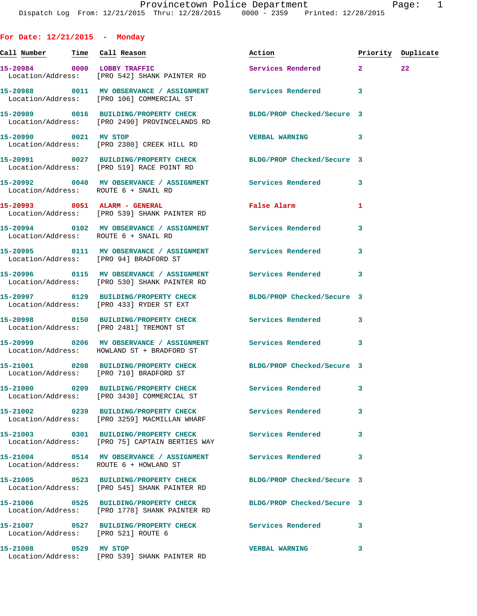**For Date: 12/21/2015 - Monday**

**Call Number Time Call Reason Action Priority Duplicate 15-20984 0000 LOBBY TRAFFIC Services Rendered 2 22**  Location/Address: [PRO 542] SHANK PAINTER RD **15-20988 0011 MV OBSERVANCE / ASSIGNMENT Services Rendered 3**  Location/Address: [PRO 106] COMMERCIAL ST **15-20989 0016 BUILDING/PROPERTY CHECK BLDG/PROP Checked/Secure 3**  Location/Address: [PRO 2490] PROVINCELANDS RD **15-20990 0021 MV STOP VERBAL WARNING 3**  Location/Address: [PRO 2380] CREEK HILL RD **15-20991 0027 BUILDING/PROPERTY CHECK BLDG/PROP Checked/Secure 3**  Location/Address: [PRO 519] RACE POINT RD **15-20992 0040 MV OBSERVANCE / ASSIGNMENT Services Rendered 3**  Location/Address: ROUTE 6 + SNAIL RD **15-20993 0051 ALARM - GENERAL False Alarm 1**  Location/Address: [PRO 539] SHANK PAINTER RD **15-20994 0102 MV OBSERVANCE / ASSIGNMENT Services Rendered 3**  Location/Address: ROUTE 6 + SNAIL RD **15-20995 0111 MV OBSERVANCE / ASSIGNMENT Services Rendered 3**  Location/Address: [PRO 94] BRADFORD ST **15-20996 0115 MV OBSERVANCE / ASSIGNMENT Services Rendered 3**  Location/Address: [PRO 530] SHANK PAINTER RD **15-20997 0129 BUILDING/PROPERTY CHECK BLDG/PROP Checked/Secure 3**  Location/Address: [PRO 433] RYDER ST EXT **15-20998 0150 BUILDING/PROPERTY CHECK Services Rendered 3**  Location/Address: [PRO 2481] TREMONT ST **15-20999 0206 MV OBSERVANCE / ASSIGNMENT Services Rendered 3**  Location/Address: HOWLAND ST + BRADFORD ST **15-21001 0208 BUILDING/PROPERTY CHECK BLDG/PROP Checked/Secure 3**  Location/Address: [PRO 710] BRADFORD ST **15-21000 0209 BUILDING/PROPERTY CHECK Services Rendered 3**  Location/Address: [PRO 3430] COMMERCIAL ST **15-21002 0239 BUILDING/PROPERTY CHECK Services Rendered 3**  Location/Address: [PRO 3259] MACMILLAN WHARF **15-21003 0301 BUILDING/PROPERTY CHECK Services Rendered 3**  Location/Address: [PRO 75] CAPTAIN BERTIES WAY **15-21004 0514 MV OBSERVANCE / ASSIGNMENT Services Rendered 3**  Location/Address: ROUTE 6 + HOWLAND ST **15-21005 0523 BUILDING/PROPERTY CHECK BLDG/PROP Checked/Secure 3**  Location/Address: [PRO 545] SHANK PAINTER RD **15-21006 0525 BUILDING/PROPERTY CHECK BLDG/PROP Checked/Secure 3**  Location/Address: [PRO 1778] SHANK PAINTER RD **15-21007 0527 BUILDING/PROPERTY CHECK Services Rendered 3**  Location/Address: **15-21008 0529 MV STOP VERBAL WARNING 3**  Location/Address: [PRO 539] SHANK PAINTER RD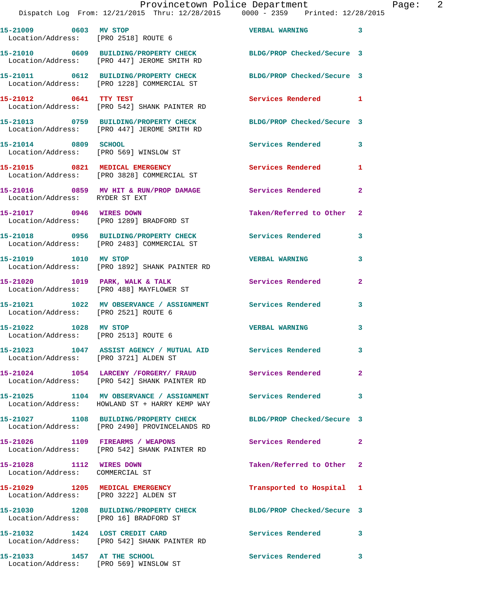| 15-21009 0603 MV STOP                                                    | Location/Address: [PRO 2518] ROUTE 6                                                                          | <b>VERBAL WARNING</b>      | $\overline{\mathbf{3}}$ |
|--------------------------------------------------------------------------|---------------------------------------------------------------------------------------------------------------|----------------------------|-------------------------|
|                                                                          | 15-21010 0609 BUILDING/PROPERTY CHECK<br>Location/Address: [PRO 447] JEROME SMITH RD                          | BLDG/PROP Checked/Secure 3 |                         |
|                                                                          | 15-21011 0612 BUILDING/PROPERTY CHECK<br>Location/Address: [PRO 1228] COMMERCIAL ST                           | BLDG/PROP Checked/Secure 3 |                         |
| 15-21012 0641 TTY TEST                                                   | Location/Address: [PRO 542] SHANK PAINTER RD                                                                  | Services Rendered 1        |                         |
|                                                                          | 15-21013 0759 BUILDING/PROPERTY CHECK<br>Location/Address: [PRO 447] JEROME SMITH RD                          | BLDG/PROP Checked/Secure 3 |                         |
| 15-21014 0809 SCHOOL                                                     | Location/Address: [PRO 569] WINSLOW ST                                                                        | <b>Services Rendered</b>   | 3                       |
|                                                                          | 15-21015 0821 MEDICAL EMERGENCY<br>Location/Address: [PRO 3828] COMMERCIAL ST                                 | Services Rendered          | $\mathbf{1}$            |
| Location/Address: RYDER ST EXT                                           | 15-21016 0859 MV HIT & RUN/PROP DAMAGE Services Rendered                                                      |                            | $\mathbf{2}$            |
| 15-21017 0946 WIRES DOWN                                                 | Location/Address: [PRO 1289] BRADFORD ST                                                                      | Taken/Referred to Other 2  |                         |
|                                                                          | 15-21018 0956 BUILDING/PROPERTY CHECK<br>Location/Address: [PRO 2483] COMMERCIAL ST                           | <b>Services Rendered</b>   | 3                       |
| 15-21019 1010 MV STOP                                                    | Location/Address: [PRO 1892] SHANK PAINTER RD                                                                 | <b>VERBAL WARNING</b>      | 3                       |
|                                                                          | 15-21020 1019 PARK, WALK & TALK<br>Location/Address: [PRO 488] MAYFLOWER ST                                   | Services Rendered          | $\mathbf{2}$            |
| Location/Address: [PRO 2521] ROUTE 6                                     | 15-21021 1022 MV OBSERVANCE / ASSIGNMENT Services Rendered                                                    |                            | 3                       |
| 15-21022 1028 MV STOP<br>Location/Address: [PRO 2513] ROUTE 6            |                                                                                                               | <b>VERBAL WARNING</b>      | 3                       |
| Location/Address: [PRO 3721] ALDEN ST                                    | 15-21023 1047 ASSIST AGENCY / MUTUAL AID Services Rendered                                                    |                            | 3                       |
|                                                                          | 15-21024 1054 LARCENY /FORGERY/ FRAUD<br>Location/Address: [PRO 542] SHANK PAINTER RD                         | Services Rendered          | $\mathbf{2}$            |
|                                                                          | 15-21025 1104 MV OBSERVANCE / ASSIGNMENT Services Rendered 3<br>Location/Address: HOWLAND ST + HARRY KEMP WAY |                            |                         |
|                                                                          | 15-21027 1108 BUILDING/PROPERTY CHECK<br>Location/Address: [PRO 2490] PROVINCELANDS RD                        | BLDG/PROP Checked/Secure 3 |                         |
| 15-21026 1109 FIREARMS / WEAPONS                                         | Location/Address: [PRO 542] SHANK PAINTER RD                                                                  | Services Rendered 2        |                         |
| 15-21028 1112 WIRES DOWN<br>Location/Address: COMMERCIAL ST              |                                                                                                               | Taken/Referred to Other 2  |                         |
| 15-21029 1205 MEDICAL EMERGENCY<br>Location/Address: [PRO 3222] ALDEN ST |                                                                                                               | Transported to Hospital 1  |                         |
| Location/Address: [PRO 16] BRADFORD ST                                   | 15-21030 1208 BUILDING/PROPERTY CHECK                                                                         | BLDG/PROP Checked/Secure 3 |                         |
| 15-21032 1424 LOST CREDIT CARD                                           | Location/Address: [PRO 542] SHANK PAINTER RD                                                                  | Services Rendered          | $\overline{\mathbf{3}}$ |
| 15-21033 1457 AT THE SCHOOL                                              |                                                                                                               | Services Rendered 3        |                         |

Location/Address: [PRO 569] WINSLOW ST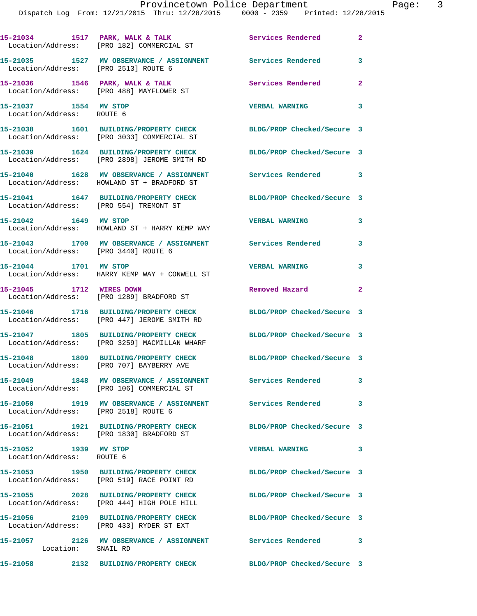|                                                    | 15-21034 1517 PARK, WALK & TALK<br>Location/Address: [PRO 182] COMMERCIAL ST                                     | <b>Services Rendered</b>   | $\mathbf{2}$            |
|----------------------------------------------------|------------------------------------------------------------------------------------------------------------------|----------------------------|-------------------------|
| Location/Address: [PRO 2513] ROUTE 6               | 15-21035 1527 MV OBSERVANCE / ASSIGNMENT Services Rendered                                                       |                            | 3                       |
|                                                    | 15-21036 1546 PARK, WALK & TALK<br>Location/Address: [PRO 488] MAYFLOWER ST                                      | Services Rendered          | $\mathbf{2}$            |
| 15-21037 1554 MV STOP<br>Location/Address: ROUTE 6 |                                                                                                                  | <b>VERBAL WARNING</b>      | 3                       |
|                                                    | 15-21038 1601 BUILDING/PROPERTY CHECK BLDG/PROP Checked/Secure 3<br>Location/Address: [PRO 3033] COMMERCIAL ST   |                            |                         |
|                                                    | 15-21039 1624 BUILDING/PROPERTY CHECK<br>Location/Address: [PRO 2898] JEROME SMITH RD                            | BLDG/PROP Checked/Secure 3 |                         |
|                                                    | 15-21040 1628 MV OBSERVANCE / ASSIGNMENT<br>Location/Address: HOWLAND ST + BRADFORD ST                           | Services Rendered 3        |                         |
| Location/Address: [PRO 554] TREMONT ST             | 15-21041 1647 BUILDING/PROPERTY CHECK                                                                            | BLDG/PROP Checked/Secure 3 |                         |
| 15-21042 1649 MV STOP                              | Location/Address: HOWLAND ST + HARRY KEMP WAY                                                                    | <b>VERBAL WARNING</b>      | 3                       |
| Location/Address: [PRO 3440] ROUTE 6               | 15-21043 1700 MV OBSERVANCE / ASSIGNMENT Services Rendered                                                       |                            | 3                       |
| 15-21044 1701 MV STOP                              | Location/Address: HARRY KEMP WAY + CONWELL ST                                                                    | <b>VERBAL WARNING</b>      | 3                       |
| 15-21045 1712 WIRES DOWN                           | Location/Address: [PRO 1289] BRADFORD ST                                                                         | Removed Hazard             | $\overline{\mathbf{2}}$ |
|                                                    | 15-21046 1716 BUILDING/PROPERTY CHECK<br>Location/Address: [PRO 447] JEROME SMITH RD                             | BLDG/PROP Checked/Secure 3 |                         |
|                                                    | 15-21047 1805 BUILDING/PROPERTY CHECK BLDG/PROP Checked/Secure 3<br>Location/Address: [PRO 3259] MACMILLAN WHARF |                            |                         |
|                                                    | 15-21048 1809 BUILDING/PROPERTY CHECK<br>Location/Address: [PRO 707] BAYBERRY AVE                                | BLDG/PROP Checked/Secure 3 |                         |
|                                                    | 15-21049 1848 MV OBSERVANCE / ASSIGNMENT Services Rendered<br>Location/Address: [PRO 106] COMMERCIAL ST          |                            | $\mathbf{3}$            |
|                                                    | 15-21050 1919 MV OBSERVANCE / ASSIGNMENT Services Rendered 3<br>Location/Address: [PRO 2518] ROUTE 6             |                            |                         |
|                                                    | 15-21051          1921  BUILDING/PROPERTY CHECK<br>Location/Address: [PRO 1830] BRADFORD ST                      | BLDG/PROP Checked/Secure 3 |                         |
| 15-21052 1939 MV STOP<br>Location/Address: ROUTE 6 |                                                                                                                  | <b>VERBAL WARNING</b>      | $\overline{\mathbf{3}}$ |
|                                                    | 15-21053 1950 BUILDING/PROPERTY CHECK<br>Location/Address: [PRO 519] RACE POINT RD                               | BLDG/PROP Checked/Secure 3 |                         |
|                                                    | 15-21055 2028 BUILDING/PROPERTY CHECK<br>Location/Address: [PRO 444] HIGH POLE HILL                              | BLDG/PROP Checked/Secure 3 |                         |
|                                                    | 15-21056 2109 BUILDING/PROPERTY CHECK<br>Location/Address: [PRO 433] RYDER ST EXT                                | BLDG/PROP Checked/Secure 3 |                         |
| Location: SNAIL RD                                 | 15-21057 2126 MV OBSERVANCE / ASSIGNMENT Services Rendered 3                                                     |                            |                         |
|                                                    | 15-21058 2132 BUILDING/PROPERTY CHECK                                                                            | BLDG/PROP Checked/Secure 3 |                         |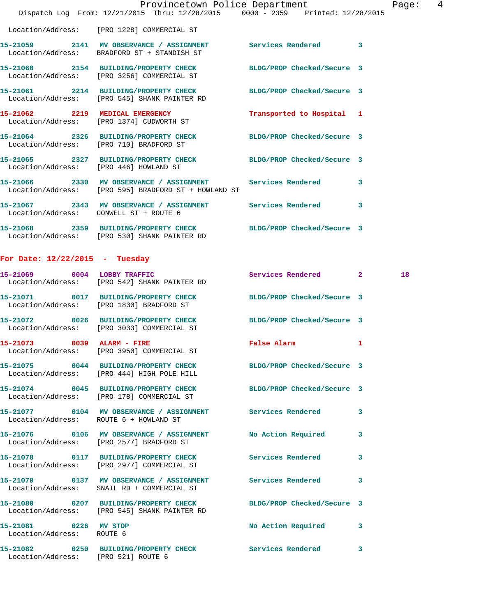|                                        | Dispatch Log From: 12/21/2015 Thru: 12/28/2015 0000 - 2359 Printed: 12/28/2015                                     | Provincetown Police Department | Page: 4                 |
|----------------------------------------|--------------------------------------------------------------------------------------------------------------------|--------------------------------|-------------------------|
|                                        | Location/Address: [PRO 1228] COMMERCIAL ST                                                                         |                                |                         |
|                                        | 15-21059 2141 MV OBSERVANCE / ASSIGNMENT Services Rendered 3<br>Location/Address: BRADFORD ST + STANDISH ST        |                                |                         |
|                                        | 15-21060 2154 BUILDING/PROPERTY CHECK BLDG/PROP Checked/Secure 3<br>Location/Address: [PRO 3256] COMMERCIAL ST     |                                |                         |
|                                        | 15-21061 2214 BUILDING/PROPERTY CHECK BLDG/PROP Checked/Secure 3<br>Location/Address: [PRO 545] SHANK PAINTER RD   |                                |                         |
|                                        | 15-21062 2219 MEDICAL EMERGENCY<br>Location/Address: [PRO 1374] CUDWORTH ST                                        | Transported to Hospital 1      |                         |
|                                        | 15-21064 2326 BUILDING/PROPERTY CHECK BLDG/PROP Checked/Secure 3<br>Location/Address: [PRO 710] BRADFORD ST        |                                |                         |
| Location/Address: [PRO 446] HOWLAND ST | 15-21065 2327 BUILDING/PROPERTY CHECK BLDG/PROP Checked/Secure 3                                                   |                                |                         |
|                                        | 15-21066 2330 MV OBSERVANCE / ASSIGNMENT Services Rendered<br>Location/Address: [PRO 595] BRADFORD ST + HOWLAND ST |                                | 3                       |
| Location/Address: CONWELL ST + ROUTE 6 | 15-21067 2343 MV OBSERVANCE / ASSIGNMENT Services Rendered                                                         |                                | $\overline{\mathbf{3}}$ |
|                                        | 15-21068 2359 BUILDING/PROPERTY CHECK BLDG/PROP Checked/Secure 3<br>Location/Address: [PRO 530] SHANK PAINTER RD   |                                |                         |

## **For Date: 12/22/2015 - Tuesday**

|                                                    | 15-21069 0004 LOBBY TRAFFIC<br>Location/Address: [PRO 542] SHANK PAINTER RD                                      | Services Rendered 2 |              | 18 |
|----------------------------------------------------|------------------------------------------------------------------------------------------------------------------|---------------------|--------------|----|
|                                                    | 15-21071 0017 BUILDING/PROPERTY CHECK BLDG/PROP Checked/Secure 3<br>Location/Address: [PRO 1830] BRADFORD ST     |                     |              |    |
|                                                    | 15-21072 0026 BUILDING/PROPERTY CHECK BLDG/PROP Checked/Secure 3<br>Location/Address: [PRO 3033] COMMERCIAL ST   |                     |              |    |
|                                                    | 15-21073 0039 ALARM - FIRE<br>Location/Address: [PRO 3950] COMMERCIAL ST                                         | False Alarm         | $\mathbf{1}$ |    |
|                                                    | 15-21075 0044 BUILDING/PROPERTY CHECK BLDG/PROP Checked/Secure 3<br>Location/Address: [PRO 444] HIGH POLE HILL   |                     |              |    |
|                                                    | 15-21074 0045 BUILDING/PROPERTY CHECK BLDG/PROP Checked/Secure 3<br>Location/Address: [PRO 178] COMMERCIAL ST    |                     |              |    |
| Location/Address: ROUTE 6 + HOWLAND ST             | 15-21077 0104 MV OBSERVANCE / ASSIGNMENT Services Rendered                                                       |                     | 3            |    |
|                                                    | Location/Address: [PRO 2577] BRADFORD ST                                                                         |                     | 3            |    |
|                                                    | 15-21078 0117 BUILDING/PROPERTY CHECK Services Rendered<br>Location/Address: [PRO 2977] COMMERCIAL ST            |                     | 3            |    |
|                                                    | 15-21079 0137 MV OBSERVANCE / ASSIGNMENT Services Rendered<br>Location/Address: SNAIL RD + COMMERCIAL ST         |                     | 3            |    |
|                                                    | 15-21080 0207 BUILDING/PROPERTY CHECK BLDG/PROP Checked/Secure 3<br>Location/Address: [PRO 545] SHANK PAINTER RD |                     |              |    |
| 15-21081 0226 MV STOP<br>Location/Address: ROUTE 6 |                                                                                                                  | No Action Required  | 3            |    |
| Location/Address: [PRO 521] ROUTE 6                | 15-21082 0250 BUILDING/PROPERTY CHECK Services Rendered                                                          |                     | 3            |    |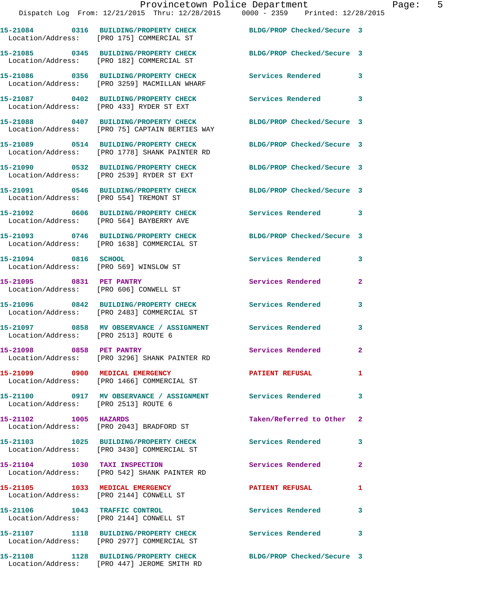|                                      | Provincetown Police Department<br>Dispatch Log From: 12/21/2015 Thru: 12/28/2015 0000 - 2359 Printed: 12/28/2015   |                            | Page: 5      |
|--------------------------------------|--------------------------------------------------------------------------------------------------------------------|----------------------------|--------------|
|                                      | 15-21084 0316 BUILDING/PROPERTY CHECK BLDG/PROP Checked/Secure 3<br>Location/Address: [PRO 175] COMMERCIAL ST      |                            |              |
|                                      | 15-21085 0345 BUILDING/PROPERTY CHECK BLDG/PROP Checked/Secure 3<br>Location/Address: [PRO 182] COMMERCIAL ST      |                            |              |
|                                      | 15-21086 0356 BUILDING/PROPERTY CHECK Services Rendered 3<br>Location/Address: [PRO 3259] MACMILLAN WHARF          |                            |              |
|                                      |                                                                                                                    |                            |              |
|                                      | 15-21088 0407 BUILDING/PROPERTY CHECK BLDG/PROP Checked/Secure 3<br>Location/Address: [PRO 75] CAPTAIN BERTIES WAY |                            |              |
|                                      | 15-21089 0514 BUILDING/PROPERTY CHECK BLDG/PROP Checked/Secure 3<br>Location/Address: [PRO 1778] SHANK PAINTER RD  |                            |              |
|                                      | 15-21090 0532 BUILDING/PROPERTY CHECK BLDG/PROP Checked/Secure 3<br>Location/Address: [PRO 2539] RYDER ST EXT      |                            |              |
|                                      | 15-21091 0546 BUILDING/PROPERTY CHECK BLDG/PROP Checked/Secure 3<br>Location/Address: [PRO 554] TREMONT ST         |                            |              |
|                                      | 15-21092 0606 BUILDING/PROPERTY CHECK Services Rendered 3<br>Location/Address: [PRO 564] BAYBERRY AVE              |                            |              |
|                                      | 15-21093 0746 BUILDING/PROPERTY CHECK BLDG/PROP Checked/Secure 3<br>Location/Address: [PRO 1638] COMMERCIAL ST     |                            |              |
|                                      | 15-21094 0816 SCHOOL<br>Location/Address: [PRO 569] WINSLOW ST                                                     | <b>Services Rendered</b>   | 3            |
|                                      | 15-21095 0831 PET PANTRY<br>Location/Address: [PRO 606] CONWELL ST                                                 | Services Rendered          | $\mathbf{2}$ |
|                                      | 15-21096 0842 BUILDING/PROPERTY CHECK Services Rendered<br>Location/Address: [PRO 2483] COMMERCIAL ST              |                            | 3            |
| Location/Address: [PRO 2513] ROUTE 6 | 15-21097 0858 MV OBSERVANCE / ASSIGNMENT Services Rendered                                                         |                            | 3            |
| 15-21098 0858 PET PANTRY             | Location/Address: [PRO 3296] SHANK PAINTER RD                                                                      | Services Rendered          | $\mathbf{2}$ |
|                                      | 15-21099 0900 MEDICAL EMERGENCY<br>Location/Address: [PRO 1466] COMMERCIAL ST                                      | <b>PATIENT REFUSAL</b>     | 1            |
| Location/Address: [PRO 2513] ROUTE 6 | 15-21100 0917 MV OBSERVANCE / ASSIGNMENT Services Rendered                                                         |                            | 3            |
| 15-21102 1005 HAZARDS                | Location/Address: [PRO 2043] BRADFORD ST                                                                           | Taken/Referred to Other 2  |              |
|                                      | 15-21103 1025 BUILDING/PROPERTY CHECK Services Rendered<br>Location/Address: [PRO 3430] COMMERCIAL ST              |                            | 3            |
|                                      | 15-21104 1030 TAXI INSPECTION<br>Location/Address: [PRO 542] SHANK PAINTER RD                                      | Services Rendered          | $\mathbf{2}$ |
|                                      | 15-21105 1033 MEDICAL EMERGENCY<br>Location/Address: [PRO 2144] CONWELL ST                                         | <b>PATIENT REFUSAL</b>     | 1            |
|                                      | 15-21106 1043 TRAFFIC CONTROL<br>Location/Address: [PRO 2144] CONWELL ST                                           | Services Rendered          | 3            |
|                                      | 15-21107 1118 BUILDING/PROPERTY CHECK Services Rendered<br>Location/Address: [PRO 2977] COMMERCIAL ST              |                            | 3            |
|                                      | 15-21108 1128 BUILDING/PROPERTY CHECK                                                                              | BLDG/PROP Checked/Secure 3 |              |

Location/Address: [PRO 447] JEROME SMITH RD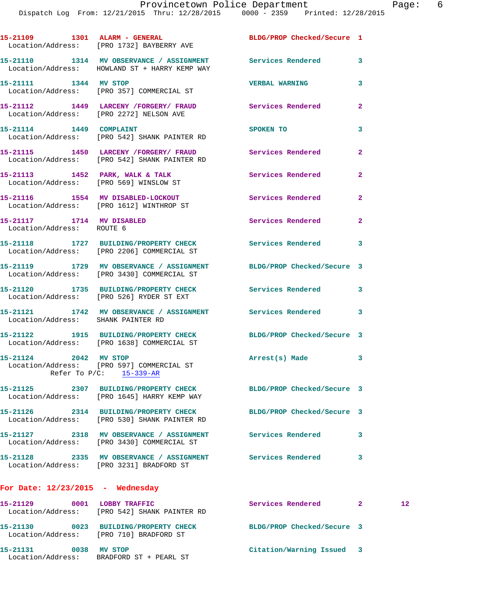|                                    | 15-21109 1301 ALARM - GENERAL BLDG/PROP Checked/Secure 1<br>Location/Address: [PRO 1732] BAYBERRY AVE             |                           |                |    |
|------------------------------------|-------------------------------------------------------------------------------------------------------------------|---------------------------|----------------|----|
|                                    | 15-21110 1314 MV OBSERVANCE / ASSIGNMENT Services Rendered<br>Location/Address: HOWLAND ST + HARRY KEMP WAY       |                           | 3              |    |
|                                    | 15-21111 1344 MV STOP<br>Location/Address: [PRO 357] COMMERCIAL ST                                                | <b>VERBAL WARNING</b>     | 3              |    |
|                                    | 15-21112 1449 LARCENY /FORGERY / FRAUD Services Rendered<br>Location/Address: [PRO 2272] NELSON AVE               |                           | $\overline{2}$ |    |
|                                    | 15-21114 1449 COMPLAINT<br>Location/Address: [PRO 542] SHANK PAINTER RD                                           | SPOKEN TO                 | 3              |    |
|                                    | 15-21115 1450 LARCENY /FORGERY / FRAUD Services Rendered<br>Location/Address: [PRO 542] SHANK PAINTER RD          |                           | $\mathbf{2}$   |    |
|                                    | 15-21113 1452 PARK, WALK & TALK 3 Services Rendered<br>Location/Address: [PRO 569] WINSLOW ST                     |                           | $\overline{2}$ |    |
|                                    | 15-21116 1554 MV DISABLED-LOCKOUT Services Rendered<br>Location/Address: [PRO 1612] WINTHROP ST                   |                           | $\mathbf{2}$   |    |
| Location/Address: ROUTE 6          | 15-21117 1714 MV DISABLED                                                                                         | Services Rendered         | $\mathbf{2}$   |    |
|                                    | 15-21118 1727 BUILDING/PROPERTY CHECK Services Rendered<br>Location/Address: [PRO 2206] COMMERCIAL ST             |                           | 3              |    |
|                                    | 15-21119 1729 MV OBSERVANCE / ASSIGNMENT BLDG/PROP Checked/Secure 3<br>Location/Address: [PRO 3430] COMMERCIAL ST |                           |                |    |
|                                    | 15-21120 1735 BUILDING/PROPERTY CHECK Services Rendered<br>Location/Address: [PRO 526] RYDER ST EXT               |                           | 3              |    |
| Location/Address: SHANK PAINTER RD | 15-21121 1742 MV OBSERVANCE / ASSIGNMENT Services Rendered                                                        |                           | 3              |    |
|                                    | 15-21122 1915 BUILDING/PROPERTY CHECK BLDG/PROP Checked/Secure 3<br>Location/Address: [PRO 1638] COMMERCIAL ST    |                           |                |    |
|                                    | 15-21124 2042 MV STOP<br>Location/Address: [PRO 597] COMMERCIAL ST<br>Refer To $P/C$ : 15-339-AR                  | Arrest(s) Made            | 3              |    |
|                                    | 15-21125 2307 BUILDING/PROPERTY CHECK BLDG/PROP Checked/Secure 3<br>Location/Address: [PRO 1645] HARRY KEMP WAY   |                           |                |    |
|                                    | 15-21126 2314 BUILDING/PROPERTY CHECK BLDG/PROP Checked/Secure 3<br>Location/Address: [PRO 530] SHANK PAINTER RD  |                           |                |    |
|                                    | 15-21127 2318 MV OBSERVANCE / ASSIGNMENT Services Rendered<br>Location/Address: [PRO 3430] COMMERCIAL ST          |                           | 3              |    |
|                                    | 15-21128 2335 MV OBSERVANCE / ASSIGNMENT Services Rendered<br>Location/Address: [PRO 3231] BRADFORD ST            |                           | 3              |    |
| For Date: $12/23/2015$ - Wednesday |                                                                                                                   |                           |                |    |
|                                    | 15-21129 0001 LOBBY TRAFFIC<br>Location/Address: [PRO 542] SHANK PAINTER RD                                       | Services Rendered 2       |                | 12 |
|                                    | 15-21130 0023 BUILDING/PROPERTY CHECK BLDG/PROP Checked/Secure 3<br>Location/Address: [PRO 710] BRADFORD ST       |                           |                |    |
| 15-21131 0038 MV STOP              |                                                                                                                   | Citation/Warning Issued 3 |                |    |

Location/Address: BRADFORD ST + PEARL ST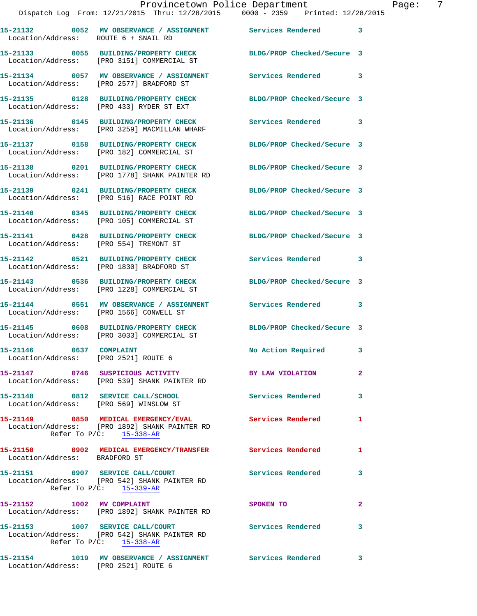|                                                                 |                                                                                                                | Provincetown Police Department<br>Dispatch Log From: 12/21/2015 Thru: 12/28/2015 0000 - 2359 Printed: 12/28/2015      | $\mathbf P$    |
|-----------------------------------------------------------------|----------------------------------------------------------------------------------------------------------------|-----------------------------------------------------------------------------------------------------------------------|----------------|
| Location/Address: ROUTE 6 + SNAIL RD                            |                                                                                                                | 15-21132 0052 MV OBSERVANCE / ASSIGNMENT Services Rendered                                                            | 3              |
|                                                                 | Location/Address: [PRO 3151] COMMERCIAL ST                                                                     | 15-21133 0055 BUILDING/PROPERTY CHECK BLDG/PROP Checked/Secure 3                                                      |                |
|                                                                 |                                                                                                                | 15-21134     0057   MV OBSERVANCE / ASSIGNMENT       Services Rendered<br>Location/Address:    [PRO 2577] BRADFORD ST | 3              |
|                                                                 | Location/Address: [PRO 433] RYDER ST EXT                                                                       | 15-21135 0128 BUILDING/PROPERTY CHECK BLDG/PROP Checked/Secure 3                                                      |                |
|                                                                 | 15-21136 0145 BUILDING/PROPERTY CHECK<br>Location/Address: [PRO 3259] MACMILLAN WHARF                          | <b>Services Rendered</b>                                                                                              | 3              |
|                                                                 | 15-21137 0158 BUILDING/PROPERTY CHECK<br>Location/Address: [PRO 182] COMMERCIAL ST                             | BLDG/PROP Checked/Secure 3                                                                                            |                |
|                                                                 | 15-21138 0201 BUILDING/PROPERTY CHECK<br>Location/Address: [PRO 1778] SHANK PAINTER RD                         | BLDG/PROP Checked/Secure 3                                                                                            |                |
|                                                                 | 15-21139 0241 BUILDING/PROPERTY CHECK<br>Location/Address: [PRO 516] RACE POINT RD                             | BLDG/PROP Checked/Secure 3                                                                                            |                |
|                                                                 | Location/Address: [PRO 105] COMMERCIAL ST                                                                      | 15-21140 0345 BUILDING/PROPERTY CHECK BLDG/PROP Checked/Secure 3                                                      |                |
| Location/Address: [PRO 554] TREMONT ST                          |                                                                                                                | 15-21141 0428 BUILDING/PROPERTY CHECK BLDG/PROP Checked/Secure 3                                                      |                |
|                                                                 | 15-21142 0521 BUILDING/PROPERTY CHECK<br>Location/Address: [PRO 1830] BRADFORD ST                              | Services Rendered                                                                                                     | 3              |
|                                                                 | 15-21143 0536 BUILDING/PROPERTY CHECK<br>Location/Address: [PRO 1228] COMMERCIAL ST                            | BLDG/PROP Checked/Secure 3                                                                                            |                |
|                                                                 | Location/Address: [PRO 1566] CONWELL ST                                                                        | 15-21144 0551 MV OBSERVANCE / ASSIGNMENT Services Rendered                                                            | 3              |
|                                                                 | 15-21145 0608 BUILDING/PROPERTY CHECK<br>Location/Address: [PRO 3033] COMMERCIAL ST                            | BLDG/PROP Checked/Secure 3                                                                                            |                |
| 15-21146 0637 COMPLAINT<br>Location/Address: [PRO 2521] ROUTE 6 |                                                                                                                | <b>No Action Required</b>                                                                                             |                |
|                                                                 | Location/Address: [PRO 539] SHANK PAINTER RD                                                                   | 15-21147 0746 SUSPICIOUS ACTIVITY THE BY LAW VIOLATION                                                                | $\overline{a}$ |
|                                                                 | 15-21148 0812 SERVICE CALL/SCHOOL<br>Location/Address: [PRO 569] WINSLOW ST                                    | <b>Services Rendered</b>                                                                                              | 3              |
|                                                                 | Location/Address: [PRO 1892] SHANK PAINTER RD<br>Refer To $P/C$ : $15-338-AR$                                  | 15-21149 0850 MEDICAL EMERGENCY/EVAL Services Rendered                                                                | 1              |
| Location/Address: BRADFORD ST                                   |                                                                                                                | 15-21150 0902 MEDICAL EMERGENCY/TRANSFER Services Rendered                                                            | 1              |
|                                                                 | Location/Address: [PRO 542] SHANK PAINTER RD<br>Refer To $P/C$ : 15-339-AR                                     | 15-21151 0907 SERVICE CALL/COURT Services Rendered                                                                    | 3              |
| 15-21152 1002 MV COMPLAINT                                      | Location/Address: [PRO 1892] SHANK PAINTER RD                                                                  | <b>SPOKEN TO</b>                                                                                                      | $\overline{a}$ |
|                                                                 | 15-21153 1007 SERVICE CALL/COURT<br>Location/Address: [PRO 542] SHANK PAINTER RD<br>Refer To $P/C$ : 15-338-AR | <b>Services Rendered</b>                                                                                              | 3              |
|                                                                 |                                                                                                                |                                                                                                                       |                |

**15-21154 1019 MV OBSERVANCE / ASSIGNMENT Services Rendered 3**  Location/Address: [PRO 2521] ROUTE 6

Page: 7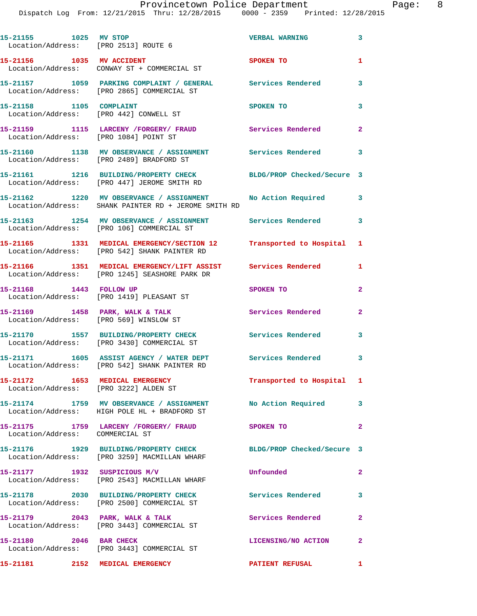| 15-21155 1025 MV STOP<br>Location/Address: [PRO 2513] ROUTE 6 |                                                                                                                 | <b>VERBAL WARNING</b>      | $\mathbf{3}$            |
|---------------------------------------------------------------|-----------------------------------------------------------------------------------------------------------------|----------------------------|-------------------------|
| 15-21156 1035 MV ACCIDENT                                     | Location/Address: CONWAY ST + COMMERCIAL ST                                                                     | <b>SPOKEN TO</b>           | $\mathbf{1}$            |
|                                                               | 15-21157 1059 PARKING COMPLAINT / GENERAL Services Rendered<br>Location/Address: [PRO 2865] COMMERCIAL ST       |                            | $\overline{\mathbf{3}}$ |
| 15-21158 1105 COMPLAINT                                       | Location/Address: [PRO 442] CONWELL ST                                                                          | SPOKEN TO                  | 3                       |
| Location/Address: [PRO 1084] POINT ST                         | 15-21159 1115 LARCENY /FORGERY/ FRAUD Services Rendered                                                         |                            | $\mathbf{2}$            |
|                                                               | 15-21160 1138 MV OBSERVANCE / ASSIGNMENT Services Rendered 3<br>Location/Address: [PRO 2489] BRADFORD ST        |                            |                         |
|                                                               | 15-21161 1216 BUILDING/PROPERTY CHECK BLDG/PROP Checked/Secure 3<br>Location/Address: [PRO 447] JEROME SMITH RD |                            |                         |
|                                                               | 15-21162 1220 MV OBSERVANCE / ASSIGNMENT<br>Location/Address: SHANK PAINTER RD + JEROME SMITH RD                | No Action Required 3       |                         |
|                                                               | 15-21163 1254 MV OBSERVANCE / ASSIGNMENT Services Rendered<br>Location/Address: [PRO 106] COMMERCIAL ST         |                            | $\mathbf{3}$            |
|                                                               | 15-21165 1331 MEDICAL EMERGENCY/SECTION 12 Transported to Hospital 1                                            |                            |                         |
|                                                               | Location/Address: [PRO 542] SHANK PAINTER RD<br>15-21166 1351 MEDICAL EMERGENCY/LIFT ASSIST Services Rendered 1 |                            |                         |
| 15-21168 1443 FOLLOW UP                                       | Location/Address: [PRO 1245] SEASHORE PARK DR                                                                   | SPOKEN TO                  | $\mathbf{2}$            |
|                                                               | Location/Address: [PRO 1419] PLEASANT ST                                                                        |                            |                         |
|                                                               | 15-21169 1458 PARK, WALK & TALK<br>Location/Address: [PRO 569] WINSLOW ST                                       | <b>Services Rendered</b>   | $\mathbf{2}$            |
|                                                               | 15-21170 1557 BUILDING/PROPERTY CHECK<br>Location/Address: [PRO 3430] COMMERCIAL ST                             | <b>Services Rendered</b>   | $\overline{\mathbf{3}}$ |
|                                                               | 15-21171 1605 ASSIST AGENCY / WATER DEPT Services Rendered 3<br>Location/Address: [PRO 542] SHANK PAINTER RD    |                            |                         |
| 15-21172 1653 MEDICAL EMERGENCY                               | Location/Address: [PRO 3222] ALDEN ST                                                                           | Transported to Hospital 1  |                         |
|                                                               | 15-21174 1759 MV OBSERVANCE / ASSIGNMENT<br>Location/Address: HIGH POLE HL + BRADFORD ST                        | No Action Required 3       |                         |
| Location/Address: COMMERCIAL ST                               | 15-21175 1759 LARCENY / FORGERY / FRAUD                                                                         | SPOKEN TO                  | $\overline{2}$          |
|                                                               | 15-21176 1929 BUILDING/PROPERTY CHECK<br>Location/Address: [PRO 3259] MACMILLAN WHARF                           | BLDG/PROP Checked/Secure 3 |                         |
| 15-21177 1932 SUSPICIOUS M/V                                  | Location/Address: [PRO 2543] MACMILLAN WHARF                                                                    | Unfounded                  | $\mathbf{2}$            |
|                                                               | 15-21178 2030 BUILDING/PROPERTY CHECK<br>Location/Address: [PRO 2500] COMMERCIAL ST                             | <b>Services Rendered</b>   | $\mathbf{3}$            |
| 15-21179 2043 PARK, WALK & TALK                               | Location/Address: [PRO 3443] COMMERCIAL ST                                                                      | Services Rendered          | $\mathbf{2}$            |
| 15-21180 2046 BAR CHECK                                       | Location/Address: [PRO 3443] COMMERCIAL ST                                                                      | LICENSING/NO ACTION        | $\mathbf{2}$            |
| 15-21181 2152 MEDICAL EMERGENCY                               |                                                                                                                 | <b>PATIENT REFUSAL</b>     | $\mathbf{1}$            |
|                                                               |                                                                                                                 |                            |                         |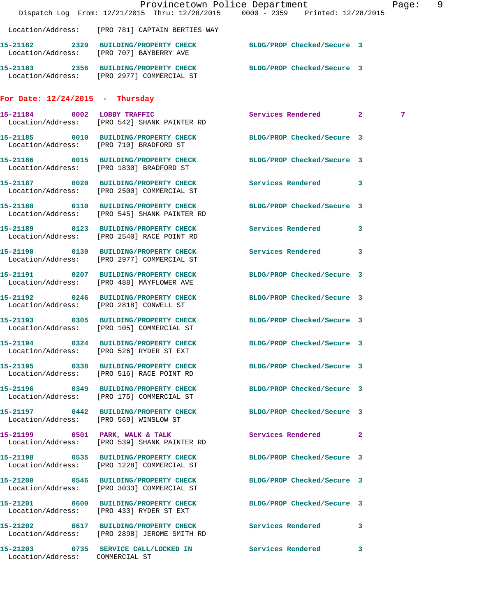|                                         | Dispatch Log From: 12/21/2015 Thru: 12/28/2015 0000 - 2359 Printed: 12/28/2015                                 | Provincetown Police Department |   | Page: 9 |
|-----------------------------------------|----------------------------------------------------------------------------------------------------------------|--------------------------------|---|---------|
|                                         | Location/Address: [PRO 781] CAPTAIN BERTIES WAY                                                                |                                |   |         |
|                                         | 15-21182 2329 BUILDING/PROPERTY CHECK BLDG/PROP Checked/Secure 3<br>Location/Address: [PRO 707] BAYBERRY AVE   |                                |   |         |
|                                         | 15-21183 2356 BUILDING/PROPERTY CHECK BLDG/PROP Checked/Secure 3<br>Location/Address: [PRO 2977] COMMERCIAL ST |                                |   |         |
| For Date: $12/24/2015$ - Thursday       |                                                                                                                |                                |   |         |
|                                         | 15-21184 0002 LOBBY TRAFFIC<br>Location/Address: [PRO 542] SHANK PAINTER RD                                    | Services Rendered 2            | 7 |         |
|                                         | 15-21185 0010 BUILDING/PROPERTY CHECK BLDG/PROP Checked/Secure 3<br>Location/Address: [PRO 710] BRADFORD ST    |                                |   |         |
|                                         | 15-21186 0015 BUILDING/PROPERTY CHECK<br>Location/Address: [PRO 1830] BRADFORD ST                              | BLDG/PROP Checked/Secure 3     |   |         |
|                                         | 15-21187 0020 BUILDING/PROPERTY CHECK<br>Location/Address: [PRO 2500] COMMERCIAL ST                            | Services Rendered 3            |   |         |
|                                         | 15-21188 0110 BUILDING/PROPERTY CHECK<br>Location/Address: [PRO 545] SHANK PAINTER RD                          | BLDG/PROP Checked/Secure 3     |   |         |
|                                         | 15-21189 0123 BUILDING/PROPERTY CHECK<br>Location/Address: [PRO 2540] RACE POINT RD                            | Services Rendered 3            |   |         |
|                                         | 15-21190 0130 BUILDING/PROPERTY CHECK<br>Location/Address: [PRO 2977] COMMERCIAL ST                            | Services Rendered 3            |   |         |
|                                         | 15-21191 0207 BUILDING/PROPERTY CHECK<br>Location/Address: [PRO 488] MAYFLOWER AVE                             | BLDG/PROP Checked/Secure 3     |   |         |
| Location/Address: [PRO 2818] CONWELL ST | 15-21192 0246 BUILDING/PROPERTY CHECK                                                                          | BLDG/PROP Checked/Secure 3     |   |         |
|                                         | 15-21193 0305 BUILDING/PROPERTY CHECK BLDG/PROP Checked/Secure 3<br>Location/Address: [PRO 105] COMMERCIAL ST  |                                |   |         |
|                                         | 15-21194 0324 BUILDING/PROPERTY CHECK BLDG/PROP Checked/Secure 3<br>Location/Address: [PRO 526] RYDER ST EXT   |                                |   |         |
|                                         | 15-21195 0338 BUILDING/PROPERTY CHECK BLDG/PROP Checked/Secure 3<br>Location/Address: [PRO 516] RACE POINT RD  |                                |   |         |
|                                         | 15-21196 0349 BUILDING/PROPERTY CHECK<br>Location/Address: [PRO 175] COMMERCIAL ST                             | BLDG/PROP Checked/Secure 3     |   |         |
| Location/Address: [PRO 569] WINSLOW ST  | 15-21197 0442 BUILDING/PROPERTY CHECK BLDG/PROP Checked/Secure 3                                               |                                |   |         |
|                                         | 15-21199 0501 PARK, WALK & TALK<br>Location/Address: [PRO 539] SHANK PAINTER RD                                | Services Rendered 2            |   |         |
|                                         | 15-21198 0535 BUILDING/PROPERTY CHECK BLDG/PROP Checked/Secure 3<br>Location/Address: [PRO 1228] COMMERCIAL ST |                                |   |         |
|                                         | 15-21200 0546 BUILDING/PROPERTY CHECK BLDG/PROP Checked/Secure 3<br>Location/Address: [PRO 3033] COMMERCIAL ST |                                |   |         |
|                                         | 15-21201 0600 BUILDING/PROPERTY CHECK BLDG/PROP Checked/Secure 3<br>Location/Address: [PRO 433] RYDER ST EXT   |                                |   |         |
|                                         | 15-21202 0617 BUILDING/PROPERTY CHECK Services Rendered 3<br>Location/Address: [PRO 2898] JEROME SMITH RD      |                                |   |         |
| Location/Address: COMMERCIAL ST         | 15-21203 0735 SERVICE CALL/LOCKED IN Services Rendered                                                         |                                | 3 |         |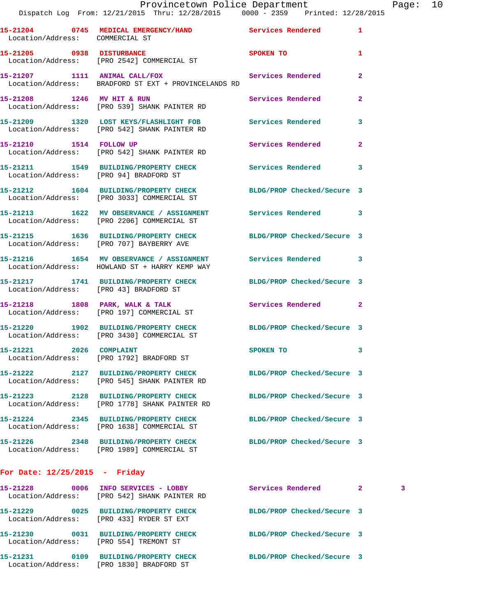## Provincetown Police Department Page: 10 Dispatch Log From: 12/21/2015 Thru: 12/28/2015 0000 - 2359 Printed: 12/28/2015

| Location/Address: COMMERCIAL ST        | 15-21204 0745 MEDICAL EMERGENCY/HAND Services Rendered                                                     |                            | 1                       |
|----------------------------------------|------------------------------------------------------------------------------------------------------------|----------------------------|-------------------------|
| 15-21205 0938 DISTURBANCE              | Location/Address: [PRO 2542] COMMERCIAL ST                                                                 | SPOKEN TO                  | 1                       |
|                                        | 15-21207 1111 ANIMAL CALL/FOX<br>Location/Address: BRADFORD ST EXT + PROVINCELANDS RD                      | Services Rendered          | $\overline{a}$          |
| 15-21208 1246 MV HIT & RUN             | Location/Address: [PRO 539] SHANK PAINTER RD                                                               | Services Rendered          | $\mathbf{2}$            |
|                                        | 15-21209 1320 LOST KEYS/FLASHLIGHT FOB<br>Location/Address: [PRO 542] SHANK PAINTER RD                     | Services Rendered          | 3                       |
| 15-21210 1514 FOLLOW UP                | Location/Address: [PRO 542] SHANK PAINTER RD                                                               | Services Rendered          | $\mathbf{2}$            |
| Location/Address: [PRO 94] BRADFORD ST | 15-21211 1549 BUILDING/PROPERTY CHECK                                                                      | <b>Services Rendered</b>   | $\overline{\mathbf{3}}$ |
|                                        | 15-21212 1604 BUILDING/PROPERTY CHECK<br>Location/Address: [PRO 3033] COMMERCIAL ST                        | BLDG/PROP Checked/Secure 3 |                         |
|                                        | 15-21213 1622 MV OBSERVANCE / ASSIGNMENT Services Rendered 3<br>Location/Address: [PRO 2206] COMMERCIAL ST |                            |                         |
|                                        | 15-21215 1636 BUILDING/PROPERTY CHECK<br>Location/Address: [PRO 707] BAYBERRY AVE                          | BLDG/PROP Checked/Secure 3 |                         |
|                                        | 15-21216 1654 MV OBSERVANCE / ASSIGNMENT<br>Location/Address: HOWLAND ST + HARRY KEMP WAY                  | Services Rendered 3        |                         |
|                                        | 15-21217 1741 BUILDING/PROPERTY CHECK<br>Location/Address: [PRO 43] BRADFORD ST                            | BLDG/PROP Checked/Secure 3 |                         |
|                                        | 15-21218 1808 PARK, WALK & TALK<br>Location/Address: [PRO 197] COMMERCIAL ST                               | Services Rendered          | $\mathbf{2}$            |
|                                        | 15-21220 1902 BUILDING/PROPERTY CHECK<br>Location/Address: [PRO 3430] COMMERCIAL ST                        | BLDG/PROP Checked/Secure 3 |                         |
| 15-21221 2026 COMPLAINT                | Location/Address: [PRO 1792] BRADFORD ST                                                                   | SPOKEN TO                  | 3                       |
| 15-21222                               | 2127 BUILDING/PROPERTY CHECK<br>Location/Address: [PRO 545] SHANK PAINTER RD                               | BLDG/PROP Checked/Secure 3 |                         |
|                                        | 15-21223 2128 BUILDING/PROPERTY CHECK<br>Location/Address: [PRO 1778] SHANK PAINTER RD                     | BLDG/PROP Checked/Secure 3 |                         |
|                                        | 15-21224 2345 BUILDING/PROPERTY CHECK<br>Location/Address: [PRO 1638] COMMERCIAL ST                        | BLDG/PROP Checked/Secure 3 |                         |
|                                        | 15-21226 2348 BUILDING/PROPERTY CHECK<br>Location/Address: [PRO 1989] COMMERCIAL ST                        | BLDG/PROP Checked/Secure 3 |                         |
| For Date: 12/25/2015 - Friday          |                                                                                                            |                            |                         |
|                                        |                                                                                                            |                            |                         |

**15-21228 0006 INFO SERVICES - LOBBY Services Rendered 2 3**  Location/Address: [PRO 542] SHANK PAINTER RD **15-21229 0025 BUILDING/PROPERTY CHECK BLDG/PROP Checked/Secure 3**  Location/Address: [PRO 433] RYDER ST EXT **15-21230 0031 BUILDING/PROPERTY CHECK BLDG/PROP Checked/Secure 3**  Location/Address: [PRO 554] TREMONT ST **15-21231 0109 BUILDING/PROPERTY CHECK BLDG/PROP Checked/Secure 3**  Location/Address: [PRO 1830] BRADFORD ST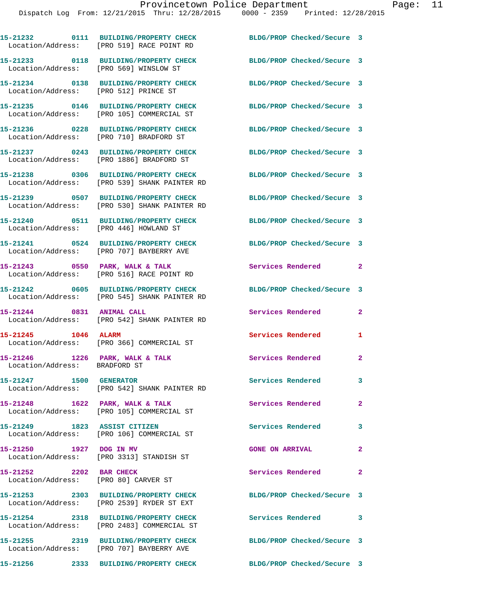|                                                                 | 15-21232 0111 BUILDING/PROPERTY CHECK<br>Location/Address: [PRO 519] RACE POINT RD    | BLDG/PROP Checked/Secure 3 |              |
|-----------------------------------------------------------------|---------------------------------------------------------------------------------------|----------------------------|--------------|
| Location/Address: [PRO 569] WINSLOW ST                          | 15-21233 0118 BUILDING/PROPERTY CHECK                                                 | BLDG/PROP Checked/Secure 3 |              |
| Location/Address: [PRO 512] PRINCE ST                           | 15-21234 0138 BUILDING/PROPERTY CHECK BLDG/PROP Checked/Secure 3                      |                            |              |
|                                                                 | 15-21235 0146 BUILDING/PROPERTY CHECK<br>Location/Address: [PRO 105] COMMERCIAL ST    | BLDG/PROP Checked/Secure 3 |              |
|                                                                 | 15-21236 0228 BUILDING/PROPERTY CHECK<br>Location/Address: [PRO 710] BRADFORD ST      | BLDG/PROP Checked/Secure 3 |              |
|                                                                 | 15-21237 0243 BUILDING/PROPERTY CHECK<br>Location/Address: [PRO 1886] BRADFORD ST     | BLDG/PROP Checked/Secure 3 |              |
|                                                                 | 15-21238 0306 BUILDING/PROPERTY CHECK<br>Location/Address: [PRO 539] SHANK PAINTER RD | BLDG/PROP Checked/Secure 3 |              |
|                                                                 | 15-21239 0507 BUILDING/PROPERTY CHECK<br>Location/Address: [PRO 530] SHANK PAINTER RD | BLDG/PROP Checked/Secure 3 |              |
| Location/Address: [PRO 446] HOWLAND ST                          | 15-21240 0511 BUILDING/PROPERTY CHECK                                                 | BLDG/PROP Checked/Secure 3 |              |
|                                                                 | 15-21241 0524 BUILDING/PROPERTY CHECK<br>Location/Address: [PRO 707] BAYBERRY AVE     | BLDG/PROP Checked/Secure 3 |              |
|                                                                 | 15-21243 0550 PARK, WALK & TALK<br>Location/Address: [PRO 516] RACE POINT RD          | Services Rendered          | $\mathbf{2}$ |
|                                                                 | 15-21242 0605 BUILDING/PROPERTY CHECK<br>Location/Address: [PRO 545] SHANK PAINTER RD | BLDG/PROP Checked/Secure 3 |              |
| 15-21244 0831 ANIMAL CALL                                       | Location/Address: [PRO 542] SHANK PAINTER RD                                          | Services Rendered          | $\mathbf{2}$ |
| 15-21245 1046 ALARM                                             | Location/Address: [PRO 366] COMMERCIAL ST                                             | <b>Services Rendered</b>   | $\mathbf{1}$ |
| Location/Address: BRADFORD ST                                   | 15-21246 1226 PARK, WALK & TALK                                                       | Services Rendered 2        |              |
| 15-21247 1500 GENERATOR                                         | Location/Address: [PRO 542] SHANK PAINTER RD                                          | Services Rendered          |              |
| 15-21248 1622 PARK, WALK & TALK                                 | Location/Address: [PRO 105] COMMERCIAL ST                                             | Services Rendered          | $\mathbf{2}$ |
| 15-21249 1823 ASSIST CITIZEN                                    | Location/Address: [PRO 106] COMMERCIAL ST                                             | Services Rendered          | 3            |
| 15-21250 1927 DOG IN MV                                         | Location/Address: [PRO 3313] STANDISH ST                                              | <b>GONE ON ARRIVAL</b>     | $\mathbf{2}$ |
| 15-21252 2202 BAR CHECK<br>Location/Address: [PRO 80] CARVER ST |                                                                                       | Services Rendered          | $\sim$ 2     |
|                                                                 | 15-21253 2303 BUILDING/PROPERTY CHECK<br>Location/Address: [PRO 2539] RYDER ST EXT    | BLDG/PROP Checked/Secure 3 |              |
|                                                                 | 15-21254 2318 BUILDING/PROPERTY CHECK<br>Location/Address: [PRO 2483] COMMERCIAL ST   | Services Rendered 3        |              |
|                                                                 | 15-21255 2319 BUILDING/PROPERTY CHECK<br>Location/Address: [PRO 707] BAYBERRY AVE     | BLDG/PROP Checked/Secure 3 |              |

**15-21256 2333 BUILDING/PROPERTY CHECK BLDG/PROP Checked/Secure 3**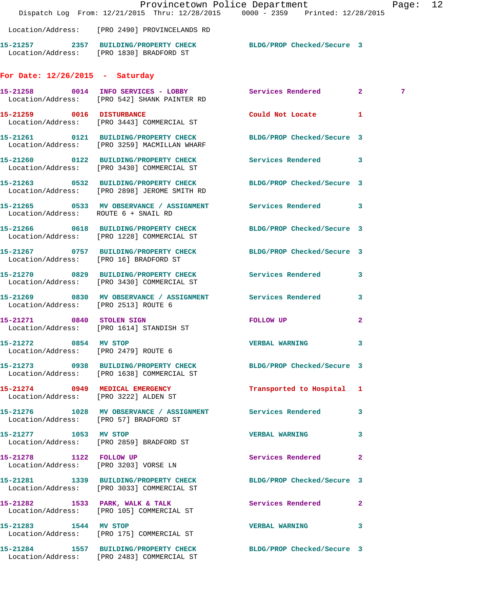|                                                               |                                                                                                       | Provincetown Police Department<br>Dispatch Log From: 12/21/2015 Thru: 12/28/2015 0000 - 2359 Printed: 12/28/2015 | Page: 12 |  |
|---------------------------------------------------------------|-------------------------------------------------------------------------------------------------------|------------------------------------------------------------------------------------------------------------------|----------|--|
|                                                               | Location/Address: [PRO 2490] PROVINCELANDS RD                                                         |                                                                                                                  |          |  |
|                                                               |                                                                                                       |                                                                                                                  |          |  |
|                                                               | Location/Address: [PRO 1830] BRADFORD ST                                                              | 15-21257 2357 BUILDING/PROPERTY CHECK BLDG/PROP Checked/Secure 3                                                 |          |  |
| For Date: $12/26/2015$ - Saturday                             |                                                                                                       |                                                                                                                  |          |  |
|                                                               | Location/Address: [PRO 542] SHANK PAINTER RD                                                          | 15-21258 0014 INFO SERVICES - LOBBY Services Rendered 2                                                          | 7        |  |
|                                                               | 15-21259 0016 DISTURBANCE<br>Location/Address: [PRO 3443] COMMERCIAL ST                               | Could Not Locate 1                                                                                               |          |  |
|                                                               | 15-21261 0121 BUILDING/PROPERTY CHECK<br>Location/Address: [PRO 3259] MACMILLAN WHARF                 | BLDG/PROP Checked/Secure 3                                                                                       |          |  |
|                                                               | 15-21260 0122 BUILDING/PROPERTY CHECK<br>Location/Address: [PRO 3430] COMMERCIAL ST                   | Services Rendered 3                                                                                              |          |  |
|                                                               | 15-21263 0532 BUILDING/PROPERTY CHECK<br>Location/Address: [PRO 2898] JEROME SMITH RD                 | BLDG/PROP Checked/Secure 3                                                                                       |          |  |
|                                                               |                                                                                                       | 15-21265 0533 MV OBSERVANCE / ASSIGNMENT Services Rendered 3<br>Location/Address: ROUTE 6 + SNAIL RD             |          |  |
|                                                               | 15-21266 0618 BUILDING/PROPERTY CHECK<br>Location/Address: [PRO 1228] COMMERCIAL ST                   | BLDG/PROP Checked/Secure 3                                                                                       |          |  |
| Location/Address: [PRO 16] BRADFORD ST                        | 15-21267 0757 BUILDING/PROPERTY CHECK                                                                 | BLDG/PROP Checked/Secure 3                                                                                       |          |  |
|                                                               | 15-21270 0829 BUILDING/PROPERTY CHECK Services Rendered<br>Location/Address: [PRO 3430] COMMERCIAL ST | $\mathbf{3}$                                                                                                     |          |  |
| Location/Address: [PRO 2513] ROUTE 6                          |                                                                                                       | 15-21269 0830 MV OBSERVANCE / ASSIGNMENT Services Rendered 3                                                     |          |  |
| 15-21271 0840 STOLEN SIGN                                     | Location/Address: [PRO 1614] STANDISH ST                                                              | $\mathbf{2}$<br><b>FOLLOW UP</b>                                                                                 |          |  |
| 15-21272 0854 MV STOP<br>Location/Address: [PRO 2479] ROUTE 6 |                                                                                                       | <b>VERBAL WARNING</b><br>3                                                                                       |          |  |
|                                                               | Location/Address: [PRO 1638] COMMERCIAL ST                                                            | 15-21273 0938 BUILDING/PROPERTY CHECK BLDG/PROP Checked/Secure 3                                                 |          |  |
|                                                               | 15-21274 0949 MEDICAL EMERGENCY<br>Location/Address: [PRO 3222] ALDEN ST                              | Transported to Hospital 1                                                                                        |          |  |
|                                                               | Location/Address: [PRO 57] BRADFORD ST                                                                | 15-21276 1028 MV OBSERVANCE / ASSIGNMENT Services Rendered 3                                                     |          |  |
| 15-21277 1053 MV STOP                                         | Location/Address: [PRO 2859] BRADFORD ST                                                              | <b>VERBAL WARNING</b><br>3                                                                                       |          |  |
| 15-21278 1122 FOLLOW UP                                       | Location/Address: [PRO 3203] VORSE LN                                                                 | Services Rendered<br>$\mathbf{2}$                                                                                |          |  |
|                                                               | 15-21281 1339 BUILDING/PROPERTY CHECK<br>Location/Address: [PRO 3033] COMMERCIAL ST                   | BLDG/PROP Checked/Secure 3                                                                                       |          |  |
|                                                               | 15-21282 1533 PARK, WALK & TALK<br>Location/Address: [PRO 105] COMMERCIAL ST                          | Services Rendered<br>$\mathbf{2}$                                                                                |          |  |
| 15-21283 1544 MV STOP                                         | Location/Address: [PRO 175] COMMERCIAL ST                                                             | VERBAL WARNING 3                                                                                                 |          |  |
|                                                               | 15-21284 1557 BUILDING/PROPERTY CHECK<br>Location/Address: [PRO 2483] COMMERCIAL ST                   | BLDG/PROP Checked/Secure 3                                                                                       |          |  |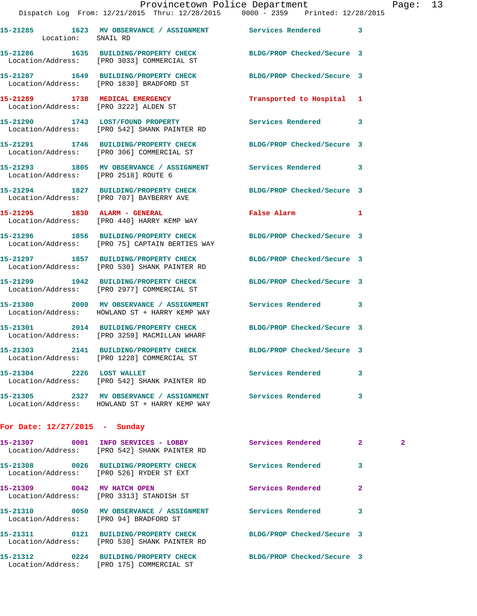|                                       |                                                                                                                | Provincetown Police Department | Page: 13 |  |
|---------------------------------------|----------------------------------------------------------------------------------------------------------------|--------------------------------|----------|--|
|                                       | Dispatch Log From: 12/21/2015 Thru: 12/28/2015 0000 - 2359 Printed: 12/28/2015                                 |                                |          |  |
| Location: SNAIL RD                    | 15-21285      1623   MV OBSERVANCE / ASSIGNMENT       Services Rendered                                        |                                |          |  |
|                                       | 15-21286 1635 BUILDING/PROPERTY CHECK BLDG/PROP Checked/Secure 3<br>Location/Address: [PRO 3033] COMMERCIAL ST |                                |          |  |
|                                       | 15-21287 1649 BUILDING/PROPERTY CHECK BLDG/PROP Checked/Secure 3<br>Location/Address: [PRO 1830] BRADFORD ST   |                                |          |  |
| Location/Address: [PRO 3222] ALDEN ST | 15-21289 1738 MEDICAL EMERGENCY                                                                                | Transported to Hospital 1      |          |  |
|                                       | 15-21290 1743 LOST/FOUND PROPERTY Services Rendered<br>Location/Address: [PRO 542] SHANK PAINTER RD            |                                |          |  |
|                                       | 15-21291 1746 BUILDING/PROPERTY CHECK BLDG/PROP Checked/Secure 3<br>Location/Address: [PRO 306] COMMERCIAL ST  |                                |          |  |
| Location/Address: [PRO 2518] ROUTE 6  | 15-21293 1805 MV OBSERVANCE / ASSIGNMENT Services Rendered                                                     |                                | 3        |  |

**15-21294 1827 BUILDING/PROPERTY CHECK BLDG/PROP Checked/Secure 3**  Location/Address: [PRO 707] BAYBERRY AVE

**15-21295 1830 ALARM - GENERAL False Alarm 1**  Location/Address: [PRO 440] HARRY KEMP WAY

**15-21296 1856 BUILDING/PROPERTY CHECK BLDG/PROP Checked/Secure 3**  Location/Address: [PRO 75] CAPTAIN BERTIES WAY

**15-21297 1857 BUILDING/PROPERTY CHECK BLDG/PROP Checked/Secure 3**  Location/Address: [PRO 530] SHANK PAINTER RD

**15-21299 1942 BUILDING/PROPERTY CHECK BLDG/PROP Checked/Secure 3**  Location/Address: [PRO 2977] COMMERCIAL ST

**15-21300 2000 MV OBSERVANCE / ASSIGNMENT Services Rendered 3**  Location/Address: HOWLAND ST + HARRY KEMP WAY

**15-21301 2014 BUILDING/PROPERTY CHECK BLDG/PROP Checked/Secure 3**  Location/Address: [PRO 3259] MACMILLAN WHARF

**15-21303 2141 BUILDING/PROPERTY CHECK BLDG/PROP Checked/Secure 3**  Location/Address: [PRO 1228] COMMERCIAL ST

**15-21304 2226 LOST WALLET Services Rendered 3**  Location/Address: [PRO 542] SHANK PAINTER RD

**15-21305 2327 MV OBSERVANCE / ASSIGNMENT Services Rendered 3**  Location/Address: HOWLAND ST + HARRY KEMP WAY

## **For Date: 12/27/2015 - Sunday**

| 0001<br>15-21307                   | INFO SERVICES - LOBBY<br>Location/Address: [PRO 542] SHANK PAINTER RD    | Services Rendered          | $\overline{2}$ | $\mathbf{2}$ |
|------------------------------------|--------------------------------------------------------------------------|----------------------------|----------------|--------------|
| 15-21308                           | 0026 BUILDING/PROPERTY CHECK<br>Location/Address: [PRO 526] RYDER ST EXT | Services Rendered          | 3              |              |
| 15-21309 0042                      | MV HATCH OPEN<br>Location/Address: [PRO 3313] STANDISH ST                | Services Rendered          | $\overline{2}$ |              |
| 15-21310<br>0050                   | MV OBSERVANCE / ASSIGNMENT<br>Location/Address: [PRO 94] BRADFORD ST     | Services Rendered          | 3              |              |
|                                    | Location/Address: [PRO 530] SHANK PAINTER RD                             | BLDG/PROP Checked/Secure 3 |                |              |
| 15-21312 0224<br>Location/Address: | <b>BUILDING/PROPERTY CHECK</b><br>[PRO 175] COMMERCIAL ST                | BLDG/PROP Checked/Secure 3 |                |              |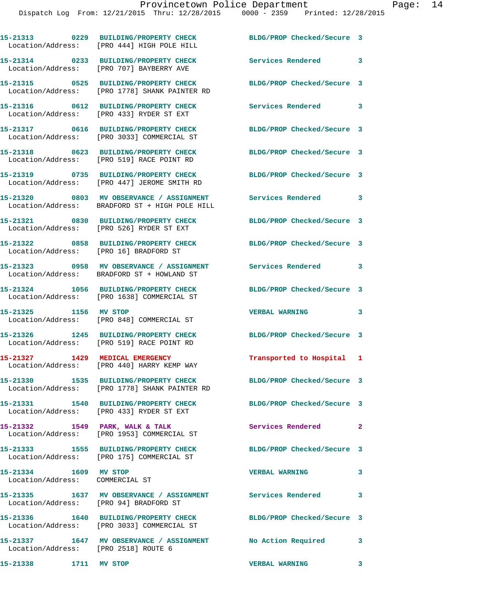|                                                          | 15-21313 0229 BUILDING/PROPERTY CHECK<br>Location/Address: [PRO 444] HIGH POLE HILL                             | BLDG/PROP Checked/Secure 3  |                            |
|----------------------------------------------------------|-----------------------------------------------------------------------------------------------------------------|-----------------------------|----------------------------|
|                                                          | 15-21314 0233 BUILDING/PROPERTY CHECK<br>Location/Address: [PRO 707] BAYBERRY AVE                               | Services Rendered 3         |                            |
|                                                          | 15-21315 0525 BUILDING/PROPERTY CHECK<br>Location/Address: [PRO 1778] SHANK PAINTER RD                          | BLDG/PROP Checked/Secure 3  |                            |
|                                                          | 15-21316 0612 BUILDING/PROPERTY CHECK<br>Location/Address: [PRO 433] RYDER ST EXT                               | <b>Services Rendered</b>    | $\overline{\phantom{a}}$ 3 |
|                                                          | 15-21317 0616 BUILDING/PROPERTY CHECK<br>Location/Address: [PRO 3033] COMMERCIAL ST                             | BLDG/PROP Checked/Secure 3  |                            |
|                                                          | 15-21318 0623 BUILDING/PROPERTY CHECK<br>Location/Address: [PRO 519] RACE POINT RD                              | BLDG/PROP Checked/Secure 3  |                            |
|                                                          | 15-21319 0735 BUILDING/PROPERTY CHECK BLDG/PROP Checked/Secure 3<br>Location/Address: [PRO 447] JEROME SMITH RD |                             |                            |
|                                                          | 15-21320 0803 MV OBSERVANCE / ASSIGNMENT Services Rendered 3<br>Location/Address: BRADFORD ST + HIGH POLE HILL  |                             |                            |
|                                                          | 15-21321 0830 BUILDING/PROPERTY CHECK<br>Location/Address: [PRO 526] RYDER ST EXT                               | BLDG/PROP Checked/Secure 3  |                            |
|                                                          | 15-21322 0858 BUILDING/PROPERTY CHECK<br>Location/Address: [PRO 16] BRADFORD ST                                 | BLDG/PROP Checked/Secure 3  |                            |
|                                                          | 15-21323 0958 MV OBSERVANCE / ASSIGNMENT<br>Location/Address: BRADFORD ST + HOWLAND ST                          | Services Rendered 3         |                            |
|                                                          | 15-21324 1056 BUILDING/PROPERTY CHECK<br>Location/Address: [PRO 1638] COMMERCIAL ST                             | BLDG/PROP Checked/Secure 3  |                            |
| 15-21325 1156 MV STOP                                    | Location/Address: [PRO 848] COMMERCIAL ST                                                                       | <b>VERBAL WARNING</b>       | 3                          |
|                                                          | 15-21326 1245 BUILDING/PROPERTY CHECK<br>Location/Address: [PRO 519] RACE POINT RD                              | BLDG/PROP Checked/Secure 3  |                            |
|                                                          | 15-21327 1429 MEDICAL EMERGENCY<br>Location/Address: [PRO 440] HARRY KEMP WAY                                   | Transported to Hospital 1   |                            |
|                                                          | 15-21330 1535 BUILDING/PROPERTY CHECK<br>Location/Address: [PRO 1778] SHANK PAINTER RD                          | BLDG/PROP Checked/Secure 3  |                            |
|                                                          | 15-21331 1540 BUILDING/PROPERTY CHECK BLDG/PROP Checked/Secure 3<br>Location/Address: [PRO 433] RYDER ST EXT    |                             |                            |
|                                                          | 15-21332 1549 PARK, WALK & TALK<br>Location/Address: [PRO 1953] COMMERCIAL ST                                   | <b>Services Rendered 22</b> |                            |
|                                                          | 15-21333 1555 BUILDING/PROPERTY CHECK BLDG/PROP Checked/Secure 3<br>Location/Address: [PRO 175] COMMERCIAL ST   |                             |                            |
| 15-21334 1609 MV STOP<br>Location/Address: COMMERCIAL ST |                                                                                                                 | <b>VERBAL WARNING</b>       | 3                          |
| Location/Address: [PRO 94] BRADFORD ST                   | 15-21335 1637 MV OBSERVANCE / ASSIGNMENT Services Rendered 3                                                    |                             |                            |
|                                                          | 15-21336 1640 BUILDING/PROPERTY CHECK<br>Location/Address: [PRO 3033] COMMERCIAL ST                             | BLDG/PROP Checked/Secure 3  |                            |
| Location/Address: [PRO 2518] ROUTE 6                     | 15-21337 1647 MV OBSERVANCE / ASSIGNMENT No Action Required 3                                                   |                             |                            |
| 15-21338 1711 MV STOP                                    |                                                                                                                 | <b>VERBAL WARNING</b>       | $\overline{\phantom{a}}$ 3 |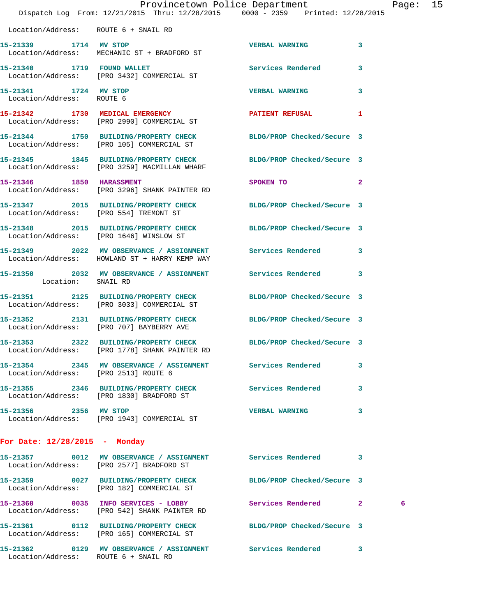|                                                    | Dispatch Log From: 12/21/2015 Thru: 12/28/2015 0000 - 2359 Printed: 12/28/2015                                        | Provincetown Police Department          |              | Page: 15 |  |
|----------------------------------------------------|-----------------------------------------------------------------------------------------------------------------------|-----------------------------------------|--------------|----------|--|
| Location/Address: ROUTE 6 + SNAIL RD               |                                                                                                                       |                                         |              |          |  |
| 15-21339 1714 MV STOP                              | Location/Address: MECHANIC ST + BRADFORD ST                                                                           | <b>VERBAL WARNING</b>                   | 3            |          |  |
|                                                    | 15-21340 1719 FOUND WALLET<br>Location/Address: [PRO 3432] COMMERCIAL ST                                              | <b>Services Rendered</b>                | $\mathbf{3}$ |          |  |
| 15-21341 1724 MV STOP<br>Location/Address: ROUTE 6 |                                                                                                                       | <b>VERBAL WARNING</b>                   | $\mathbf{3}$ |          |  |
|                                                    | 15-21342 1730 MEDICAL EMERGENCY<br>Location/Address: [PRO 2990] COMMERCIAL ST                                         | PATIENT REFUSAL                         | 1            |          |  |
|                                                    | 15-21344 1750 BUILDING/PROPERTY CHECK BLDG/PROP Checked/Secure 3<br>Location/Address: [PRO 105] COMMERCIAL ST         |                                         |              |          |  |
|                                                    | 15-21345 1845 BUILDING/PROPERTY CHECK<br>Location/Address: [PRO 3259] MACMILLAN WHARF                                 | BLDG/PROP Checked/Secure 3              |              |          |  |
| 15-21346 1850 HARASSMENT                           | Location/Address: [PRO 3296] SHANK PAINTER RD                                                                         | SPOKEN TO DESCRIPTION OF REAL PROPERTY. | $\mathbf{2}$ |          |  |
|                                                    | 15-21347 2015 BUILDING/PROPERTY CHECK<br>Location/Address: [PRO 554] TREMONT ST                                       | BLDG/PROP Checked/Secure 3              |              |          |  |
|                                                    | 15-21348 2015 BUILDING/PROPERTY CHECK BLDG/PROP Checked/Secure 3<br>Location/Address: [PRO 1646] WINSLOW ST           |                                         |              |          |  |
|                                                    | 15-21349 2022 MV OBSERVANCE / ASSIGNMENT Services Rendered 3<br>Location/Address: HOWLAND ST + HARRY KEMP WAY         |                                         |              |          |  |
| Location: SNAIL RD                                 | 15-21350 2032 MV OBSERVANCE / ASSIGNMENT Services Rendered 3                                                          |                                         |              |          |  |
|                                                    | 15-21351 2125 BUILDING/PROPERTY CHECK<br>Location/Address: [PRO 3033] COMMERCIAL ST                                   | BLDG/PROP Checked/Secure 3              |              |          |  |
|                                                    | 15-21352 2131 BUILDING/PROPERTY CHECK<br>Location/Address: [PRO 707] BAYBERRY AVE                                     | BLDG/PROP Checked/Secure 3              |              |          |  |
|                                                    | 15-21353 2322 BUILDING/PROPERTY CHECK BLDG/PROP Checked/Secure 3<br>Location/Address: [PRO 1778] SHANK PAINTER RD     |                                         |              |          |  |
| Location/Address: [PRO 2513] ROUTE 6               | 15-21354 2345 MV OBSERVANCE / ASSIGNMENT Services Rendered 3                                                          |                                         |              |          |  |
|                                                    | 15-21355 2346 BUILDING/PROPERTY CHECK Services Rendered 3<br>Location/Address: [PRO 1830] BRADFORD ST                 |                                         |              |          |  |
| 15-21356 2356 MV STOP                              | Location/Address: [PRO 1943] COMMERCIAL ST                                                                            | VERBAL WARNING 3                        |              |          |  |
| For Date: 12/28/2015 - Monday                      |                                                                                                                       |                                         |              |          |  |
|                                                    | 15-21357 0012 MV OBSERVANCE / ASSIGNMENT Services Rendered 3<br>Location/Address: [PRO 2577] BRADFORD ST              |                                         |              |          |  |
|                                                    | 15-21359 0027 BUILDING/PROPERTY CHECK BLDG/PROP Checked/Secure 3<br>Location/Address: [PRO 182] COMMERCIAL ST         |                                         |              |          |  |
|                                                    | 15-21360 0035 INFO SERVICES - LOBBY Services Rendered 2<br>Location/Address: [PRO 542] SHANK PAINTER RD               |                                         |              | 6        |  |
|                                                    | 15-21361   0112   BUILDING/PROPERTY CHECK   BLDG/PROP Checked/Secure   3<br>Location/Address: [PRO 165] COMMERCIAL ST |                                         |              |          |  |
| Location/Address: ROUTE 6 + SNAIL RD               | 15-21362 0129 MV OBSERVANCE / ASSIGNMENT Services Rendered 3                                                          |                                         |              |          |  |